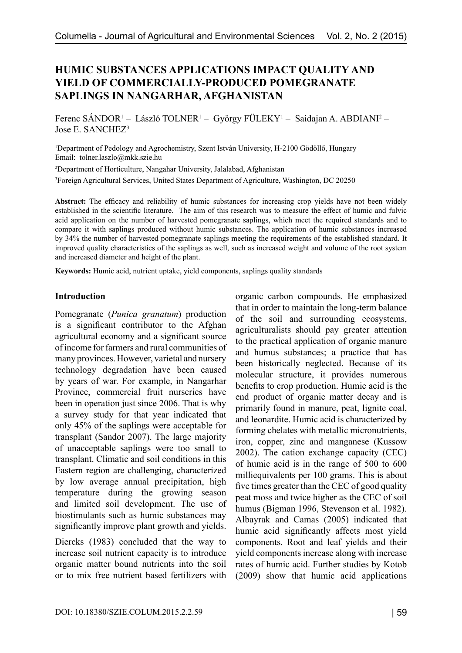# **HUMIC SUBSTANCES APPLICATIONS IMPACT QUALITY AND YIELD OF COMMERCIALLY-PRODUCED POMEGRANATE SAPLINGS IN NANGARHAR, AFGHANISTAN**

Ferenc SÁNDOR<sup>1</sup> – László TOLNER<sup>1</sup> – György FÜLEKY<sup>1</sup> – Saidajan A. ABDIANI<sup>2</sup> – Jose E. SANCHEZ3

1 Department of Pedology and Agrochemistry, Szent István University, H-2100 Gödöllő, Hungary Email: tolner.laszlo@mkk.szie.hu

2 Department of Horticulture, Nangahar University, Jalalabad, Afghanistan 3 Foreign Agricultural Services, United States Department of Agriculture, Washington, DC 20250

**Abstract:** The efficacy and reliability of humic substances for increasing crop yields have not been widely established in the scientific literature. The aim of this research was to measure the effect of humic and fulvic acid application on the number of harvested pomegranate saplings, which meet the required standards and to compare it with saplings produced without humic substances. The application of humic substances increased by 34% the number of harvested pomegranate saplings meeting the requirements of the established standard. It improved quality characteristics of the saplings as well, such as increased weight and volume of the root system and increased diameter and height of the plant.

**Keywords:** Humic acid, nutrient uptake, yield components, saplings quality standards

#### **Introduction**

Pomegranate (*Punica granatum*) production is a significant contributor to the Afghan agricultural economy and a significant source of income for farmers and rural communities of many provinces. However, varietal and nursery technology degradation have been caused by years of war. For example, in Nangarhar Province, commercial fruit nurseries have been in operation just since 2006. That is why a survey study for that year indicated that only 45% of the saplings were acceptable for transplant (Sandor 2007). The large majority of unacceptable saplings were too small to transplant. Climatic and soil conditions in this Eastern region are challenging, characterized by low average annual precipitation, high temperature during the growing season and limited soil development. The use of biostimulants such as humic substances may significantly improve plant growth and yields.

Diercks (1983) concluded that the way to increase soil nutrient capacity is to introduce organic matter bound nutrients into the soil or to mix free nutrient based fertilizers with

organic carbon compounds. He emphasized that in order to maintain the long-term balance of the soil and surrounding ecosystems, agriculturalists should pay greater attention to the practical application of organic manure and humus substances; a practice that has been historically neglected. Because of its molecular structure, it provides numerous benefits to crop production. Humic acid is the end product of organic matter decay and is primarily found in manure, peat, lignite coal, and leonardite. Humic acid is characterized by forming chelates with metallic micronutrients, iron, copper, zinc and manganese (Kussow 2002). The cation exchange capacity (CEC) of humic acid is in the range of 500 to 600 milliequivalents per 100 grams. This is about five times greater than the CEC of good quality peat moss and twice higher as the CEC of soil humus (Bigman 1996, Stevenson et al. 1982). Albayrak and Camas (2005) indicated that humic acid significantly affects most yield components. Root and leaf yields and their yield components increase along with increase rates of humic acid. Further studies by Kotob (2009) show that humic acid applications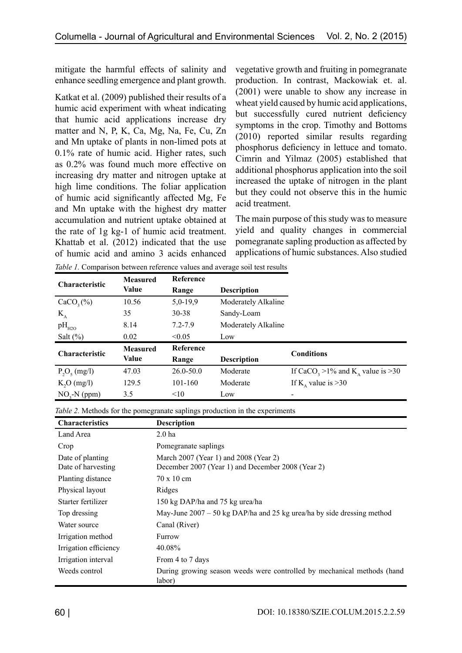mitigate the harmful effects of salinity and enhance seedling emergence and plant growth.

Katkat et al. (2009) published their results of a humic acid experiment with wheat indicating that humic acid applications increase dry matter and N, P, K, Ca, Mg, Na, Fe, Cu, Zn and Mn uptake of plants in non-limed pots at 0.1% rate of humic acid. Higher rates, such as 0.2% was found much more effective on increasing dry matter and nitrogen uptake at high lime conditions. The foliar application of humic acid significantly affected Mg, Fe and Mn uptake with the highest dry matter accumulation and nutrient uptake obtained at the rate of 1g kg-1 of humic acid treatment. Khattab et al. (2012) indicated that the use of humic acid and amino 3 acids enhanced vegetative growth and fruiting in pomegranate production. In contrast, Mackowiak et. al. (2001) were unable to show any increase in wheat yield caused by humic acid applications, but successfully cured nutrient deficiency symptoms in the crop. Timothy and Bottoms (2010) reported similar results regarding phosphorus deficiency in lettuce and tomato. Cimrin and Yilmaz (2005) established that additional phosphorus application into the soil increased the uptake of nitrogen in the plant but they could not observe this in the humic acid treatment.

The main purpose of this study was to measure yield and quality changes in commercial pomegranate sapling production as affected by applications of humic substances. Also studied

| <b>Characteristic</b> | <b>Measured</b> | <b>Reference</b>            |                     |                                                            |  |
|-----------------------|-----------------|-----------------------------|---------------------|------------------------------------------------------------|--|
|                       | Value           | <b>Description</b><br>Range |                     |                                                            |  |
| $CaCO3(\%)$           | 10.56           | $5,0-19,9$                  | Moderately Alkaline |                                                            |  |
| $K_{A}$               | 35              | 30-38                       | Sandy-Loam          |                                                            |  |
| $pH_{H2O}$            | 8.14            | $7.2 - 7.9$                 | Moderately Alkaline |                                                            |  |
| Salt $(\%)$           | 0.02            | < 0.05                      | Low                 |                                                            |  |
| <b>Characteristic</b> | <b>Measured</b> | Reference                   |                     | <b>Conditions</b>                                          |  |
|                       | Value           | Range                       | <b>Description</b>  |                                                            |  |
| $P_2O_5$ (mg/l)       | 47.03           | $26.0 - 50.0$               | Moderate            | If CaCO <sub>3</sub> > 1% and K <sub>a</sub> value is > 30 |  |
| K, O (mg/l)           | 129.5           | $101 - 160$                 | Moderate            | If K value is $>30$                                        |  |
| $NO3-N$ (ppm)         | 3.5             | $<$ 10                      | Low                 |                                                            |  |

*Table 1.* Comparison between reference values and average soil test results

|  | Table 2. Methods for the pomegranate saplings production in the experiments |
|--|-----------------------------------------------------------------------------|
|  |                                                                             |

| <b>Characteristics</b>                 | <b>Description</b>                                                                         |
|----------------------------------------|--------------------------------------------------------------------------------------------|
| Land Area                              | 2.0 <sub>ha</sub>                                                                          |
| Crop                                   | Pomegranate saplings                                                                       |
| Date of planting<br>Date of harvesting | March 2007 (Year 1) and 2008 (Year 2)<br>December 2007 (Year 1) and December 2008 (Year 2) |
| Planting distance                      | $70 \times 10 \text{ cm}$                                                                  |
| Physical layout                        | Ridges                                                                                     |
| Starter fertilizer                     | 150 kg DAP/ha and 75 kg urea/ha                                                            |
| Top dressing                           | May-June $2007 - 50$ kg DAP/ha and 25 kg urea/ha by side dressing method                   |
| Water source                           | Canal (River)                                                                              |
| Irrigation method                      | Furrow                                                                                     |
| Irrigation efficiency                  | 40.08%                                                                                     |
| Irrigation interval                    | From 4 to 7 days                                                                           |
| Weeds control                          | During growing season weeds were controlled by mechanical methods (hand<br>labor)          |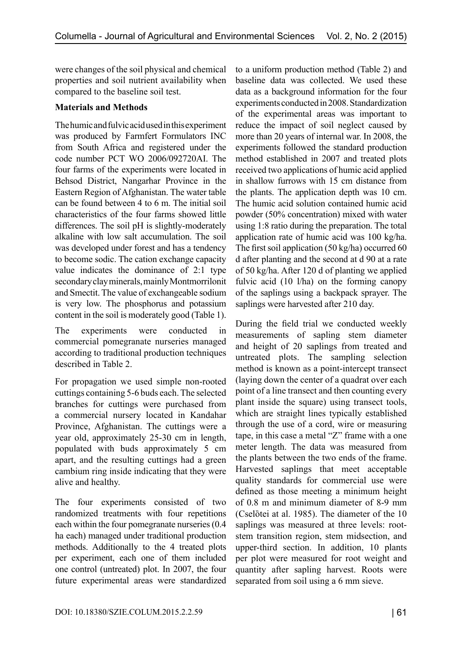were changes of the soil physical and chemical properties and soil nutrient availability when compared to the baseline soil test.

## **Materials and Methods**

The humic and fulvic acid used in this experiment was produced by Farmfert Formulators INC from South Africa and registered under the code number PCT WO 2006/092720AI. The four farms of the experiments were located in Behsod District, Nangarhar Province in the Eastern Region of Afghanistan. The water table can be found between 4 to 6 m. The initial soil characteristics of the four farms showed little differences. The soil pH is slightly-moderately alkaline with low salt accumulation. The soil was developed under forest and has a tendency to become sodic. The cation exchange capacity value indicates the dominance of 2:1 type secondary clay minerals, mainly Montmorrilonit and Smectit. The value of exchangeable sodium is very low. The phosphorus and potassium content in the soil is moderately good (Table 1).

The experiments were conducted in commercial pomegranate nurseries managed according to traditional production techniques described in Table 2.

For propagation we used simple non-rooted cuttings containing 5-6 buds each. The selected branches for cuttings were purchased from a commercial nursery located in Kandahar Province, Afghanistan. The cuttings were a year old, approximately 25-30 cm in length, populated with buds approximately 5 cm apart, and the resulting cuttings had a green cambium ring inside indicating that they were alive and healthy.

The four experiments consisted of two randomized treatments with four repetitions each within the four pomegranate nurseries (0.4 ha each) managed under traditional production methods. Additionally to the 4 treated plots per experiment, each one of them included one control (untreated) plot. In 2007, the four future experimental areas were standardized to a uniform production method (Table 2) and baseline data was collected. We used these data as a background information for the four experiments conducted in 2008. Standardization of the experimental areas was important to reduce the impact of soil neglect caused by more than 20 years of internal war. In 2008, the experiments followed the standard production method established in 2007 and treated plots received two applications of humic acid applied in shallow furrows with 15 cm distance from the plants. The application depth was 10 cm. The humic acid solution contained humic acid powder (50% concentration) mixed with water using 1:8 ratio during the preparation. The total application rate of humic acid was 100 kg/ha. The first soil application (50 kg/ha) occurred 60 d after planting and the second at d 90 at a rate of 50 kg/ha. After 120 d of planting we applied fulvic acid (10 l/ha) on the forming canopy of the saplings using a backpack sprayer. The saplings were harvested after 210 day.

During the field trial we conducted weekly measurements of sapling stem diameter and height of 20 saplings from treated and untreated plots. The sampling selection method is known as a point-intercept transect (laying down the center of a quadrat over each point of a line transect and then counting every plant inside the square) using transect tools, which are straight lines typically established through the use of a cord, wire or measuring tape, in this case a metal "Z" frame with a one meter length. The data was measured from the plants between the two ends of the frame. Harvested saplings that meet acceptable quality standards for commercial use were defined as those meeting a minimum height of 0.8 m and minimum diameter of 8-9 mm (Cselòtei at al. 1985). The diameter of the 10 saplings was measured at three levels: rootstem transition region, stem midsection, and upper-third section. In addition, 10 plants per plot were measured for root weight and quantity after sapling harvest. Roots were separated from soil using a 6 mm sieve.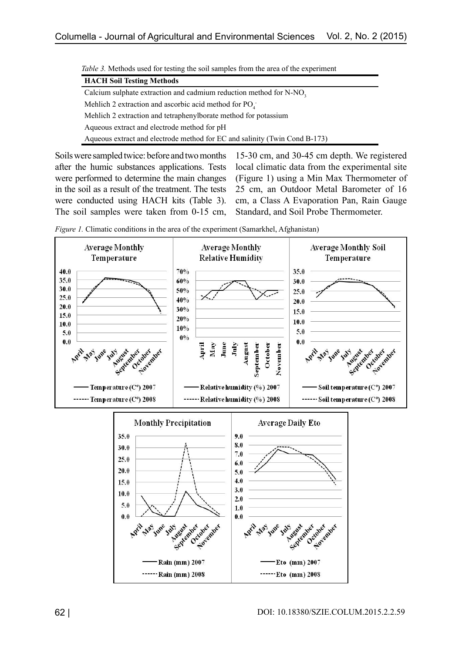| <i>rable</i> 5. Memods used for testing the son samples from the area of the experiment |  |  |  |  |
|-----------------------------------------------------------------------------------------|--|--|--|--|
| <b>HACH Soil Testing Methods</b>                                                        |  |  |  |  |
| Calcium sulphate extraction and cadmium reduction method for N-NO <sub>3</sub>          |  |  |  |  |
| Mehlich 2 extraction and ascorbic acid method for $PQ_{\alpha}$ .                       |  |  |  |  |
| Mehlich 2 extraction and tetraphenylborate method for potassium                         |  |  |  |  |
| Aqueous extract and electrode method for pH                                             |  |  |  |  |
| Aqueous extract and electrode method for EC and salinity (Twin Cond B-173)              |  |  |  |  |
|                                                                                         |  |  |  |  |

*Table 3.* Methods used for testing the soil samples from the area of the experiment

Soils were sampled twice: before and two months after the humic substances applications. Tests were performed to determine the main changes in the soil as a result of the treatment. The tests were conducted using HACH kits (Table 3). The soil samples were taken from 0-15 cm,

15-30 cm, and 30-45 cm depth. We registered local climatic data from the experimental site (Figure 1) using a Min Max Thermometer of 25 cm, an Outdoor Metal Barometer of 16 cm, a Class A Evaporation Pan, Rain Gauge Standard, and Soil Probe Thermometer.



*Figure 1.* Climatic conditions in the area of the experiment (Samarkhel, Afghanistan)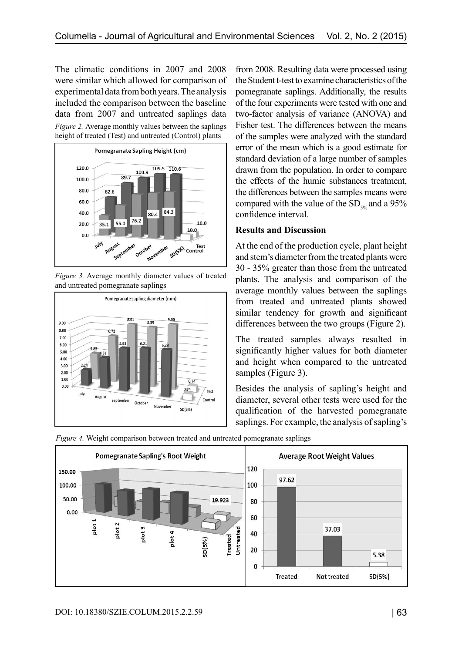The climatic conditions in 2007 and 2008 were similar which allowed for comparison of experimental data from both years. The analysis included the comparison between the baseline data from 2007 and untreated saplings data *Figure 2.* Average monthly values between the saplings height of treated (Test) and untreated (Control) plants



*Figure 3.* Average monthly diameter values of treated and untreated pomegranate saplings



from 2008. Resulting data were processed using the Student t-test to examine characteristics of the pomegranate saplings. Additionally, the results of the four experiments were tested with one and two-factor analysis of variance (ANOVA) and Fisher test. The differences between the means of the samples were analyzed with the standard error of the mean which is a good estimate for standard deviation of a large number of samples drawn from the population. In order to compare the effects of the humic substances treatment, the differences between the samples means were compared with the value of the  $SD_{50}$  and a 95% confidence interval.

### **Results and Discussion**

At the end of the production cycle, plant height and stem's diameter from the treated plants were 30 - 35% greater than those from the untreated plants. The analysis and comparison of the average monthly values between the saplings from treated and untreated plants showed similar tendency for growth and significant differences between the two groups (Figure 2).

The treated samples always resulted in significantly higher values for both diameter and height when compared to the untreated samples (Figure 3).

Besides the analysis of sapling's height and diameter, several other tests were used for the qualification of the harvested pomegranate saplings. For example, the analysis of sapling's



*Figure 4.* Weight comparison between treated and untreated pomegranate saplings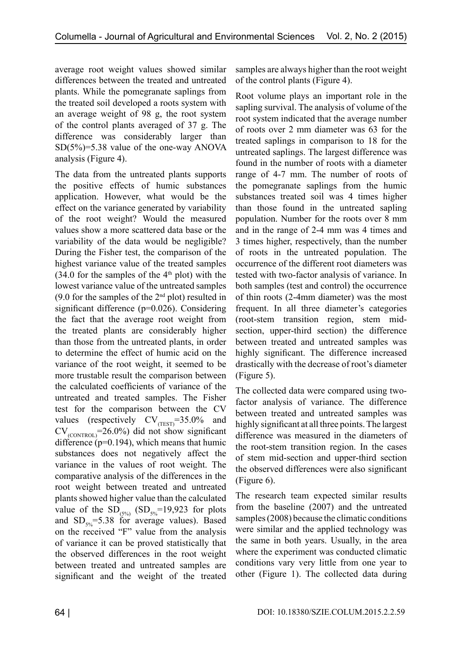average root weight values showed similar differences between the treated and untreated plants. While the pomegranate saplings from the treated soil developed a roots system with an average weight of 98 g, the root system of the control plants averaged of 37 g. The difference was considerably larger than SD(5%)=5.38 value of the one-way ANOVA analysis (Figure 4).

The data from the untreated plants supports the positive effects of humic substances application. However, what would be the effect on the variance generated by variability of the root weight? Would the measured values show a more scattered data base or the variability of the data would be negligible? During the Fisher test, the comparison of the highest variance value of the treated samples  $(34.0)$  for the samples of the 4<sup>th</sup> plot) with the lowest variance value of the untreated samples (9.0 for the samples of the  $2<sup>nd</sup>$  plot) resulted in significant difference (p=0.026). Considering the fact that the average root weight from the treated plants are considerably higher than those from the untreated plants, in order to determine the effect of humic acid on the variance of the root weight, it seemed to be more trustable result the comparison between the calculated coefficients of variance of the untreated and treated samples. The Fisher test for the comparison between the CV values (respectively  $CV_{(TEST)}=35.0\%$  and  $CV_{\text{(CONTROL)}} = 26.0\%$ ) did not show significant difference (p=0.194), which means that humic substances does not negatively affect the variance in the values of root weight. The comparative analysis of the differences in the root weight between treated and untreated plants showed higher value than the calculated value of the  $SD_{(5\%)}$   $(SD_{5\%}=19,923$  for plots and  $SD_{5\%}$ =5.38 for average values). Based on the received "F" value from the analysis of variance it can be proved statistically that the observed differences in the root weight between treated and untreated samples are significant and the weight of the treated

samples are always higher than the root weight of the control plants (Figure 4).

Root volume plays an important role in the sapling survival. The analysis of volume of the root system indicated that the average number of roots over 2 mm diameter was 63 for the treated saplings in comparison to 18 for the untreated saplings. The largest difference was found in the number of roots with a diameter range of 4-7 mm. The number of roots of the pomegranate saplings from the humic substances treated soil was 4 times higher than those found in the untreated sapling population. Number for the roots over 8 mm and in the range of 2-4 mm was 4 times and 3 times higher, respectively, than the number of roots in the untreated population. The occurrence of the different root diameters was tested with two-factor analysis of variance. In both samples (test and control) the occurrence of thin roots (2-4mm diameter) was the most frequent. In all three diameter's categories (root-stem transition region, stem midsection, upper-third section) the difference between treated and untreated samples was highly significant. The difference increased drastically with the decrease of root's diameter (Figure 5).

The collected data were compared using twofactor analysis of variance. The difference between treated and untreated samples was highly significant at all three points. The largest difference was measured in the diameters of the root-stem transition region. In the cases of stem mid-section and upper-third section the observed differences were also significant (Figure 6).

The research team expected similar results from the baseline (2007) and the untreated samples (2008) because the climatic conditions were similar and the applied technology was the same in both years. Usually, in the area where the experiment was conducted climatic conditions vary very little from one year to other (Figure 1). The collected data during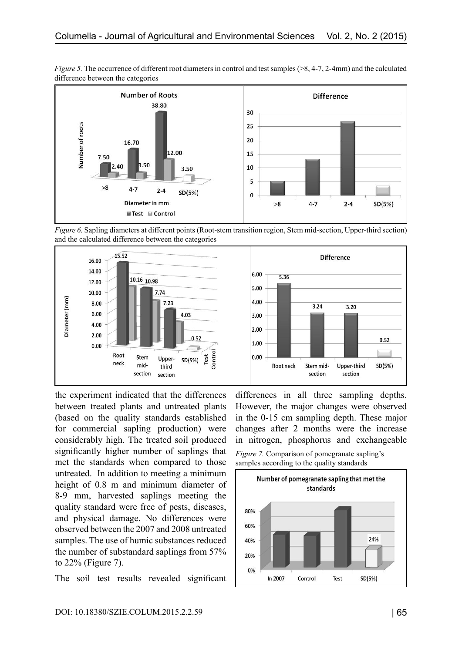

*Figure 5.* The occurrence of different root diameters in control and test samples (>8, 4-7, 2-4mm) and the calculated difference between the categories





the experiment indicated that the differences between treated plants and untreated plants (based on the quality standards established for commercial sapling production) were considerably high. The treated soil produced significantly higher number of saplings that met the standards when compared to those untreated. In addition to meeting a minimum height of 0.8 m and minimum diameter of 8-9 mm, harvested saplings meeting the quality standard were free of pests, diseases, and physical damage. No differences were observed between the 2007 and 2008 untreated samples. The use of humic substances reduced the number of substandard saplings from 57% to 22% (Figure 7).

The soil test results revealed significant

differences in all three sampling depths. However, the major changes were observed in the 0-15 cm sampling depth. These major changes after 2 months were the increase in nitrogen, phosphorus and exchangeable



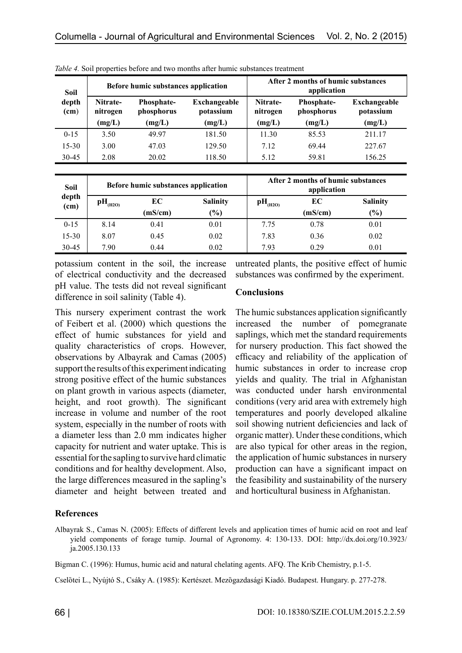| Soil          | Before humic substances application |                                 |                           | After 2 months of humic substances<br>application |                          |                                  |
|---------------|-------------------------------------|---------------------------------|---------------------------|---------------------------------------------------|--------------------------|----------------------------------|
| depth<br>(cm) | Nitrate-<br>nitrogen                | <b>Phosphate-</b><br>phosphorus | Exchangeable<br>potassium | Nitrate-<br>nitrogen                              | Phosphate-<br>phosphorus | <b>Exchangeable</b><br>potassium |
|               | (mg/L)                              | (mg/L)                          | (mg/L)                    | (mg/L)                                            | (mg/L)                   | (mg/L)                           |
| $0 - 15$      | 3.50                                | 49 97                           | 181.50                    | 11.30                                             | 85.53                    | 211.17                           |
| $15 - 30$     | 3.00                                | 47.03                           | 129.50                    | 7.12                                              | 69.44                    | 227.67                           |
| 30-45         | 2.08                                | 20.02                           | 118.50                    | 5.12                                              | 59.81                    | 156.25                           |

*Table 4.* Soil properties before and two months after humic substances treatment

| <b>Soil</b>   | Before humic substances application |         |                 | After 2 months of humic substances<br>application |         |                 |
|---------------|-------------------------------------|---------|-----------------|---------------------------------------------------|---------|-----------------|
| depth<br>(cm) | $\rm{pH}_{(H2O)}$                   | EC      | <b>Salinity</b> | $\mathbf{pH}_{\text{(H2O)}}$                      | EC      | <b>Salinity</b> |
|               |                                     | (mS/cm) | $(\%)$          |                                                   | (mS/cm) | $(\%)$          |
| $0 - 15$      | 8.14                                | 0.41    | 0.01            | 7.75                                              | 0.78    | 0.01            |
| $15 - 30$     | 8.07                                | 0.45    | 0.02            | 7.83                                              | 0.36    | 0.02            |
| $30-45$       | 7.90                                | 0.44    | 0.02            | 7.93                                              | 0.29    | 0.01            |

potassium content in the soil, the increase of electrical conductivity and the decreased pH value. The tests did not reveal significant difference in soil salinity (Table 4).

This nursery experiment contrast the work of Feibert et al. (2000) which questions the effect of humic substances for yield and quality characteristics of crops. However, observations by Albayrak and Camas (2005) support the results of this experiment indicating strong positive effect of the humic substances on plant growth in various aspects (diameter, height, and root growth). The significant increase in volume and number of the root system, especially in the number of roots with a diameter less than 2.0 mm indicates higher capacity for nutrient and water uptake. This is essential for the sapling to survive hard climatic conditions and for healthy development. Also, the large differences measured in the sapling's diameter and height between treated and

untreated plants, the positive effect of humic substances was confirmed by the experiment.

### **Conclusions**

The humic substances application significantly increased the number of pomegranate saplings, which met the standard requirements for nursery production. This fact showed the efficacy and reliability of the application of humic substances in order to increase crop yields and quality. The trial in Afghanistan was conducted under harsh environmental conditions (very arid area with extremely high temperatures and poorly developed alkaline soil showing nutrient deficiencies and lack of organic matter). Under these conditions, which are also typical for other areas in the region, the application of humic substances in nursery production can have a significant impact on the feasibility and sustainability of the nursery and horticultural business in Afghanistan.

### **References**

Albayrak S., Camas N. (2005): Effects of different levels and application times of humic acid on root and leaf yield components of forage turnip. Journal of Agronomy. 4: 130-133. DOI: http://dx.doi.org/10.3923/ ja.2005.130.133

Bigman C. (1996): Humus, humic acid and natural chelating agents. AFQ. The Krib Chemistry, p.1-5.

Cselötei L., Nyújtó S., Csáky A. (1985): Kertészet. Mezögazdasági Kiadó. Budapest. Hungary. p. 277-278.